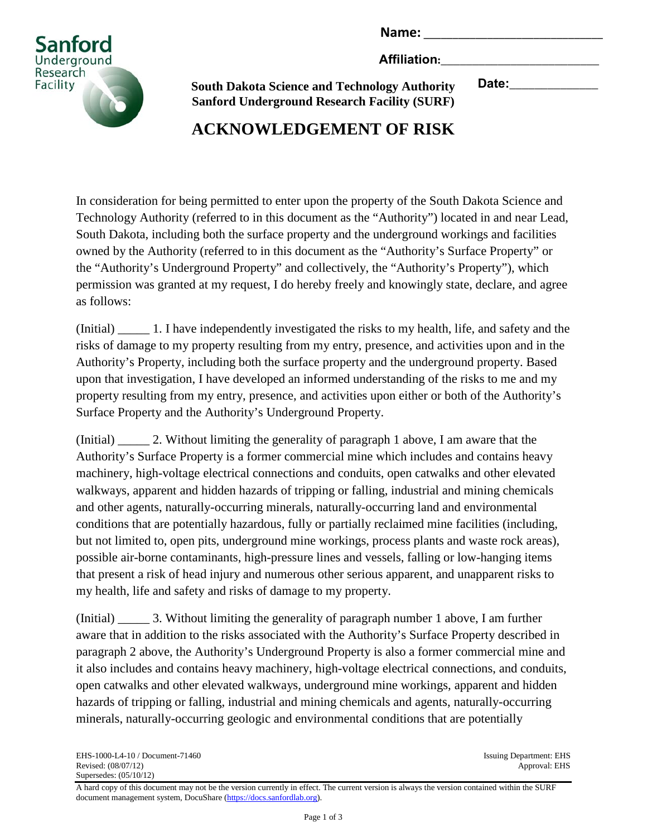Name:

**Affiliation:**\_\_\_\_\_\_\_\_\_\_\_\_\_\_\_\_\_\_\_\_\_\_\_\_\_



**South Dakota Science and Technology Authority Sanford Underground Research Facility (SURF)** **Date:**\_\_\_\_\_\_\_\_\_\_\_\_\_\_

# **ACKNOWLEDGEMENT OF RISK**

In consideration for being permitted to enter upon the property of the South Dakota Science and Technology Authority (referred to in this document as the "Authority") located in and near Lead, South Dakota, including both the surface property and the underground workings and facilities owned by the Authority (referred to in this document as the "Authority's Surface Property" or the "Authority's Underground Property" and collectively, the "Authority's Property"), which permission was granted at my request, I do hereby freely and knowingly state, declare, and agree as follows:

(Initial) \_\_\_\_\_ 1. I have independently investigated the risks to my health, life, and safety and the risks of damage to my property resulting from my entry, presence, and activities upon and in the Authority's Property, including both the surface property and the underground property. Based upon that investigation, I have developed an informed understanding of the risks to me and my property resulting from my entry, presence, and activities upon either or both of the Authority's Surface Property and the Authority's Underground Property.

(Initial) \_\_\_\_\_ 2. Without limiting the generality of paragraph 1 above, I am aware that the Authority's Surface Property is a former commercial mine which includes and contains heavy machinery, high-voltage electrical connections and conduits, open catwalks and other elevated walkways, apparent and hidden hazards of tripping or falling, industrial and mining chemicals and other agents, naturally-occurring minerals, naturally-occurring land and environmental conditions that are potentially hazardous, fully or partially reclaimed mine facilities (including, but not limited to, open pits, underground mine workings, process plants and waste rock areas), possible air-borne contaminants, high-pressure lines and vessels, falling or low-hanging items that present a risk of head injury and numerous other serious apparent, and unapparent risks to my health, life and safety and risks of damage to my property.

(Initial) \_\_\_\_\_ 3. Without limiting the generality of paragraph number 1 above, I am further aware that in addition to the risks associated with the Authority's Surface Property described in paragraph 2 above, the Authority's Underground Property is also a former commercial mine and it also includes and contains heavy machinery, high-voltage electrical connections, and conduits, open catwalks and other elevated walkways, underground mine workings, apparent and hidden hazards of tripping or falling, industrial and mining chemicals and agents, naturally-occurring minerals, naturally-occurring geologic and environmental conditions that are potentially

Approval: EHS

A hard copy of this document may not be the version currently in effect. The current version is always the version contained within the SURF document management system, DocuShare [\(https://docs.sanfordlab.org\)](https://docs.sanfordlab.org/).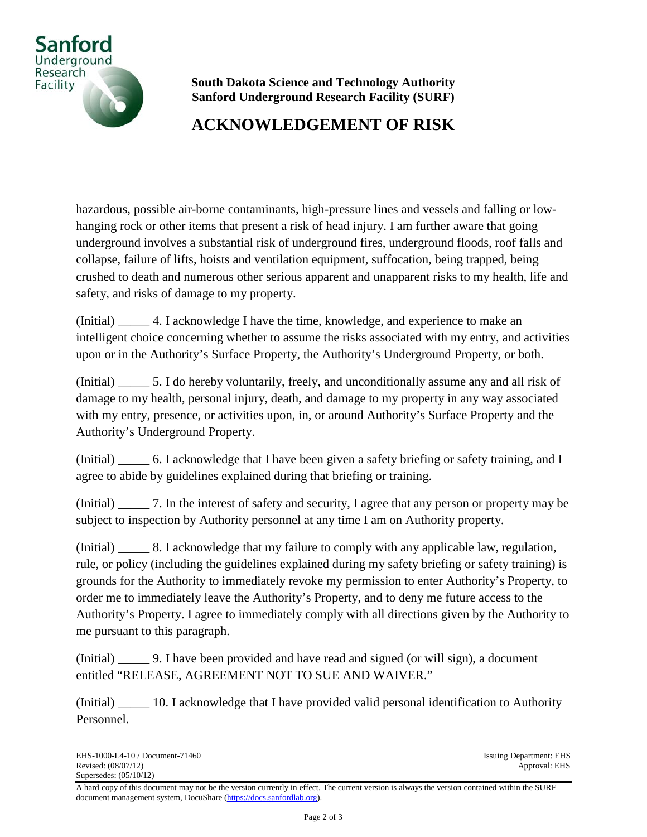

## **ACKNOWLEDGEMENT OF RISK**

hazardous, possible air-borne contaminants, high-pressure lines and vessels and falling or lowhanging rock or other items that present a risk of head injury. I am further aware that going underground involves a substantial risk of underground fires, underground floods, roof falls and collapse, failure of lifts, hoists and ventilation equipment, suffocation, being trapped, being crushed to death and numerous other serious apparent and unapparent risks to my health, life and safety, and risks of damage to my property.

(Initial) \_\_\_\_\_ 4. I acknowledge I have the time, knowledge, and experience to make an intelligent choice concerning whether to assume the risks associated with my entry, and activities upon or in the Authority's Surface Property, the Authority's Underground Property, or both.

(Initial) \_\_\_\_\_ 5. I do hereby voluntarily, freely, and unconditionally assume any and all risk of damage to my health, personal injury, death, and damage to my property in any way associated with my entry, presence, or activities upon, in, or around Authority's Surface Property and the Authority's Underground Property.

(Initial) \_\_\_\_\_ 6. I acknowledge that I have been given a safety briefing or safety training, and I agree to abide by guidelines explained during that briefing or training.

(Initial) \_\_\_\_\_ 7. In the interest of safety and security, I agree that any person or property may be subject to inspection by Authority personnel at any time I am on Authority property.

(Initial) \_\_\_\_\_ 8. I acknowledge that my failure to comply with any applicable law, regulation, rule, or policy (including the guidelines explained during my safety briefing or safety training) is grounds for the Authority to immediately revoke my permission to enter Authority's Property, to order me to immediately leave the Authority's Property, and to deny me future access to the Authority's Property. I agree to immediately comply with all directions given by the Authority to me pursuant to this paragraph.

(Initial) \_\_\_\_\_ 9. I have been provided and have read and signed (or will sign), a document entitled "RELEASE, AGREEMENT NOT TO SUE AND WAIVER."

(Initial) \_\_\_\_\_ 10. I acknowledge that I have provided valid personal identification to Authority Personnel.

A hard copy of this document may not be the version currently in effect. The current version is always the version contained within the SURF document management system, DocuShare [\(https://docs.sanfordlab.org\)](https://docs.sanfordlab.org/).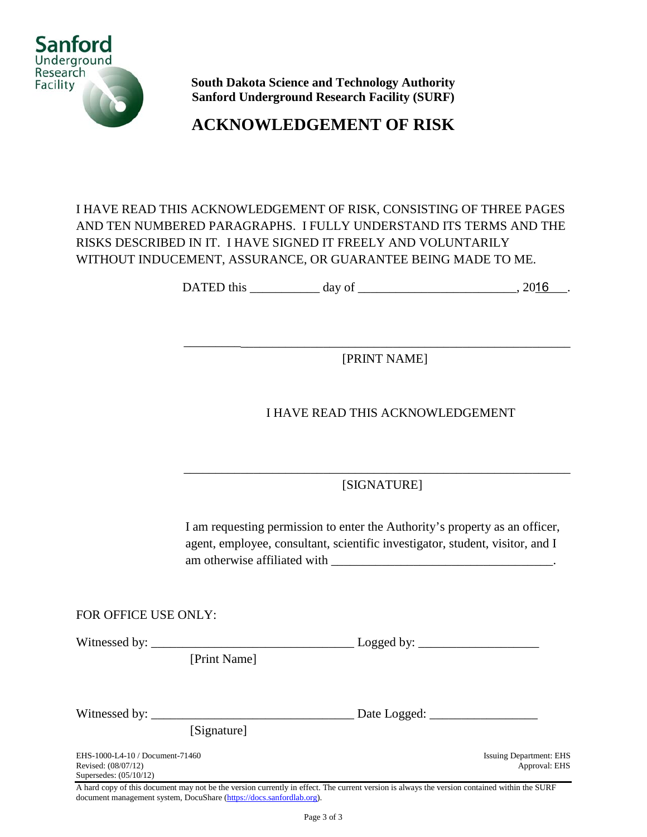

**ACKNOWLEDGEMENT OF RISK**

### I HAVE READ THIS ACKNOWLEDGEMENT OF RISK, CONSISTING OF THREE PAGES AND TEN NUMBERED PARAGRAPHS. I FULLY UNDERSTAND ITS TERMS AND THE RISKS DESCRIBED IN IT. I HAVE SIGNED IT FREELY AND VOLUNTARILY WITHOUT INDUCEMENT, ASSURANCE, OR GUARANTEE BEING MADE TO ME.

DATED this \_\_\_\_\_\_\_\_\_\_\_\_\_ day of \_\_\_\_\_\_\_\_\_\_\_\_\_\_\_\_\_\_\_\_\_\_\_\_\_\_\_\_\_\_\_\_\_, 2016

[PRINT NAME]

\_\_\_\_\_\_\_\_\_\_\_\_\_\_\_\_\_\_\_\_\_\_\_\_\_\_\_\_\_\_\_\_\_\_\_\_\_\_\_\_\_\_\_\_\_\_\_\_\_\_\_\_\_\_\_\_\_\_\_\_\_

### I HAVE READ THIS ACKNOWLEDGEMENT

\_\_\_\_\_\_\_\_\_\_\_\_\_\_\_\_\_\_\_\_\_\_\_\_\_\_\_\_\_\_\_\_\_\_\_\_\_\_\_\_\_\_\_\_\_\_\_\_\_\_\_\_\_\_\_\_\_\_\_\_\_ [SIGNATURE]

I am requesting permission to enter the Authority's property as an officer, agent, employee, consultant, scientific investigator, student, visitor, and I am otherwise affiliated with

FOR OFFICE USE ONLY:

Witnessed by: \_\_\_\_\_\_\_\_\_\_\_\_\_\_\_\_\_\_\_\_\_\_\_\_\_\_\_\_\_\_\_\_ Logged by: \_\_\_\_\_\_\_\_\_\_\_\_\_\_\_\_\_\_\_

[Print Name]

Witnessed by: \_\_\_\_\_\_\_\_\_\_\_\_\_\_\_\_\_\_\_\_\_\_\_\_\_\_\_\_\_\_\_\_ Date Logged: \_\_\_\_\_\_\_\_\_\_\_\_\_\_\_\_\_

[Signature]

EHS-1000-L4-10 / Document-71460 Issuing Department: EHS<br>Revised: (08/07/12) Approval: EHS Revised: (08/07/12) Supersedes: (05/10/12)

A hard copy of this document may not be the version currently in effect. The current version is always the version contained within the SURF document management system, DocuShare [\(https://docs.sanfordlab.org\)](https://docs.sanfordlab.org/).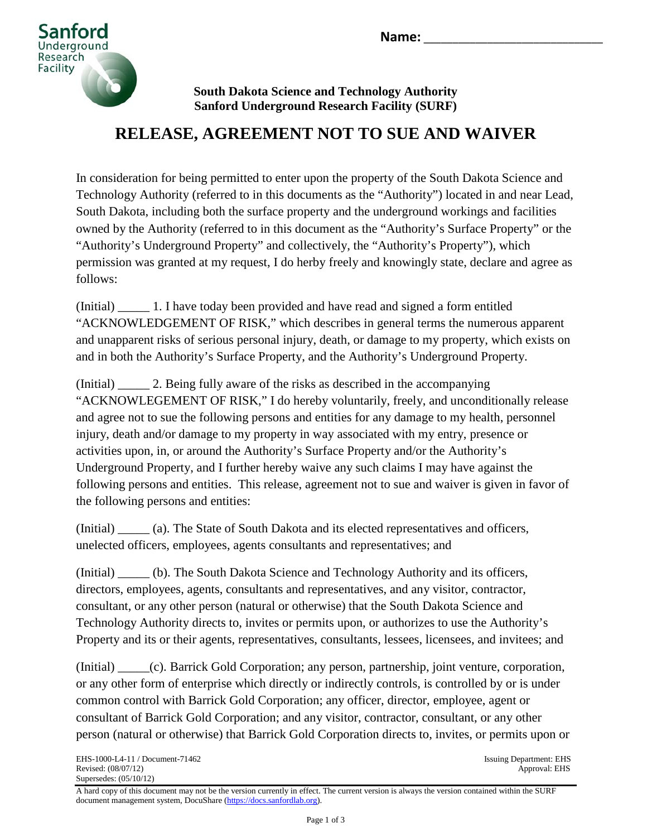

# **RELEASE, AGREEMENT NOT TO SUE AND WAIVER**

In consideration for being permitted to enter upon the property of the South Dakota Science and Technology Authority (referred to in this documents as the "Authority") located in and near Lead, South Dakota, including both the surface property and the underground workings and facilities owned by the Authority (referred to in this document as the "Authority's Surface Property" or the "Authority's Underground Property" and collectively, the "Authority's Property"), which permission was granted at my request, I do herby freely and knowingly state, declare and agree as follows:

(Initial) \_\_\_\_\_ 1. I have today been provided and have read and signed a form entitled "ACKNOWLEDGEMENT OF RISK," which describes in general terms the numerous apparent and unapparent risks of serious personal injury, death, or damage to my property, which exists on and in both the Authority's Surface Property, and the Authority's Underground Property.

(Initial) \_\_\_\_\_ 2. Being fully aware of the risks as described in the accompanying "ACKNOWLEGEMENT OF RISK," I do hereby voluntarily, freely, and unconditionally release and agree not to sue the following persons and entities for any damage to my health, personnel injury, death and/or damage to my property in way associated with my entry, presence or activities upon, in, or around the Authority's Surface Property and/or the Authority's Underground Property, and I further hereby waive any such claims I may have against the following persons and entities. This release, agreement not to sue and waiver is given in favor of the following persons and entities:

(Initial) \_\_\_\_\_ (a). The State of South Dakota and its elected representatives and officers, unelected officers, employees, agents consultants and representatives; and

(Initial) \_\_\_\_\_ (b). The South Dakota Science and Technology Authority and its officers, directors, employees, agents, consultants and representatives, and any visitor, contractor, consultant, or any other person (natural or otherwise) that the South Dakota Science and Technology Authority directs to, invites or permits upon, or authorizes to use the Authority's Property and its or their agents, representatives, consultants, lessees, licensees, and invitees; and

(Initial) \_\_\_\_\_(c). Barrick Gold Corporation; any person, partnership, joint venture, corporation, or any other form of enterprise which directly or indirectly controls, is controlled by or is under common control with Barrick Gold Corporation; any officer, director, employee, agent or consultant of Barrick Gold Corporation; and any visitor, contractor, consultant, or any other person (natural or otherwise) that Barrick Gold Corporation directs to, invites, or permits upon or

A hard copy of this document may not be the version currently in effect. The current version is always the version contained within the SURF document management system, DocuShare [\(https://docs.sanfordlab.org\)](https://docs.sanfordlab.org/).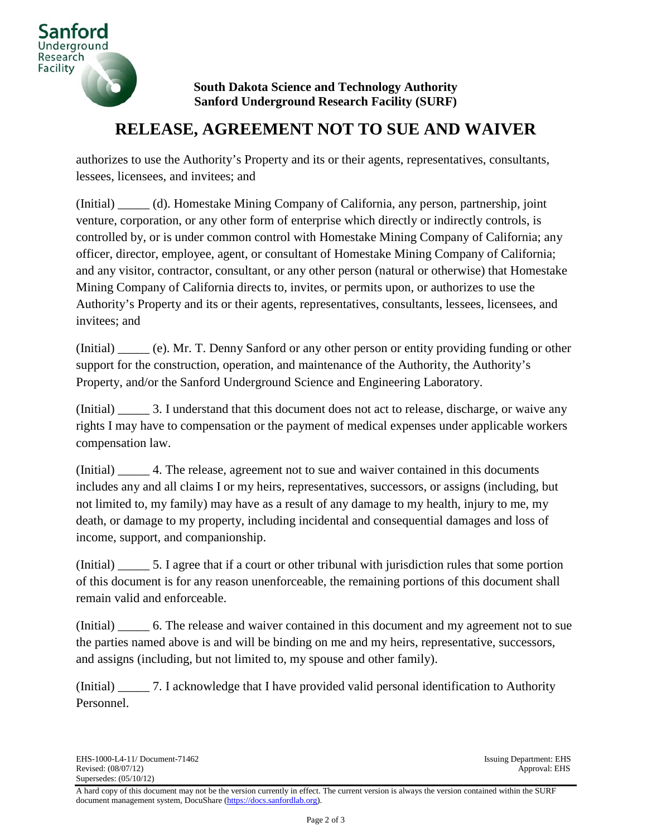

## **RELEASE, AGREEMENT NOT TO SUE AND WAIVER**

authorizes to use the Authority's Property and its or their agents, representatives, consultants, lessees, licensees, and invitees; and

(Initial) \_\_\_\_\_ (d). Homestake Mining Company of California, any person, partnership, joint venture, corporation, or any other form of enterprise which directly or indirectly controls, is controlled by, or is under common control with Homestake Mining Company of California; any officer, director, employee, agent, or consultant of Homestake Mining Company of California; and any visitor, contractor, consultant, or any other person (natural or otherwise) that Homestake Mining Company of California directs to, invites, or permits upon, or authorizes to use the Authority's Property and its or their agents, representatives, consultants, lessees, licensees, and invitees; and

(Initial) \_\_\_\_\_ (e). Mr. T. Denny Sanford or any other person or entity providing funding or other support for the construction, operation, and maintenance of the Authority, the Authority's Property, and/or the Sanford Underground Science and Engineering Laboratory.

(Initial) \_\_\_\_\_ 3. I understand that this document does not act to release, discharge, or waive any rights I may have to compensation or the payment of medical expenses under applicable workers compensation law.

(Initial) \_\_\_\_\_ 4. The release, agreement not to sue and waiver contained in this documents includes any and all claims I or my heirs, representatives, successors, or assigns (including, but not limited to, my family) may have as a result of any damage to my health, injury to me, my death, or damage to my property, including incidental and consequential damages and loss of income, support, and companionship.

(Initial) \_\_\_\_\_ 5. I agree that if a court or other tribunal with jurisdiction rules that some portion of this document is for any reason unenforceable, the remaining portions of this document shall remain valid and enforceable.

(Initial) \_\_\_\_\_\_ 6. The release and waiver contained in this document and my agreement not to sue the parties named above is and will be binding on me and my heirs, representative, successors, and assigns (including, but not limited to, my spouse and other family).

(Initial) \_\_\_\_\_ 7. I acknowledge that I have provided valid personal identification to Authority Personnel.

A hard copy of this document may not be the version currently in effect. The current version is always the version contained within the SURF document management system, DocuShare [\(https://docs.sanfordlab.org\)](https://docs.sanfordlab.org/).